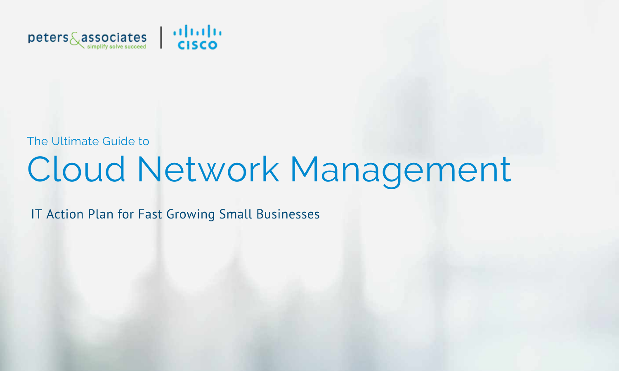

The Ultimate Guide to

# Cloud Network Management

IT Action Plan for Fast Growing Small Businesses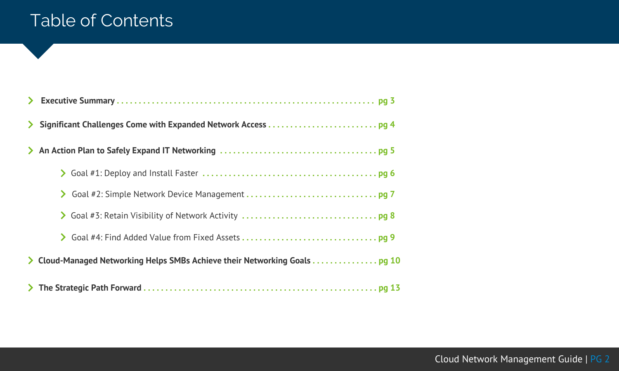### Table of Contents

| $\blacktriangleright$ |                                                                          |
|-----------------------|--------------------------------------------------------------------------|
|                       |                                                                          |
| $\sum$                |                                                                          |
|                       |                                                                          |
|                       |                                                                          |
|                       |                                                                          |
|                       |                                                                          |
| $\sum$                | Cloud-Managed Networking Helps SMBs Achieve their Networking Goals pg 10 |
|                       |                                                                          |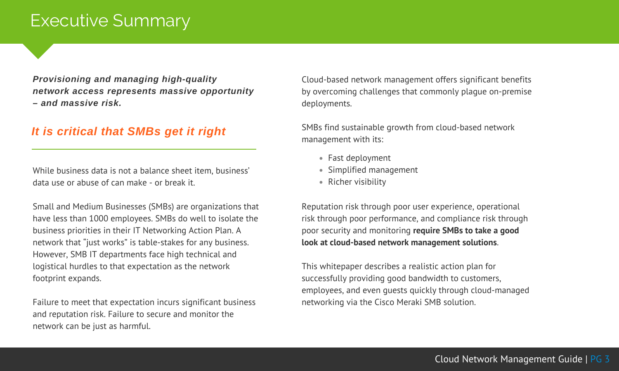### Executive Summary

*Provisioning and managing high-quality network access represents massive opportunity – and massive risk.*

#### *It is critical that SMBs get it right*

While business data is not a balance sheet item, business' data use or abuse of can make - or break it.

Small and Medium Businesses (SMBs) are organizations that have less than 1000 employees. SMBs do well to isolate the business priorities in their IT Networking Action Plan. A network that "just works" is table-stakes for any business. However, SMB IT departments face high technical and logistical hurdles to that expectation as the network footprint expands.

Failure to meet that expectation incurs significant business and reputation risk. Failure to secure and monitor the network can be just as harmful.

Cloud-based network management offers significant benefits by overcoming challenges that commonly plague on-premise deployments.

SMBs find sustainable growth from cloud-based network management with its:

- Fast deployment
- Simplified management
- Richer visibility

Reputation risk through poor user experience, operational risk through poor performance, and compliance risk through poor security and monitoring **require SMBs to take a good look at cloud-based network management solutions**.

This whitepaper describes a realistic action plan for successfully providing good bandwidth to customers, employees, and even guests quickly through cloud-managed networking via the Cisco Meraki SMB solution.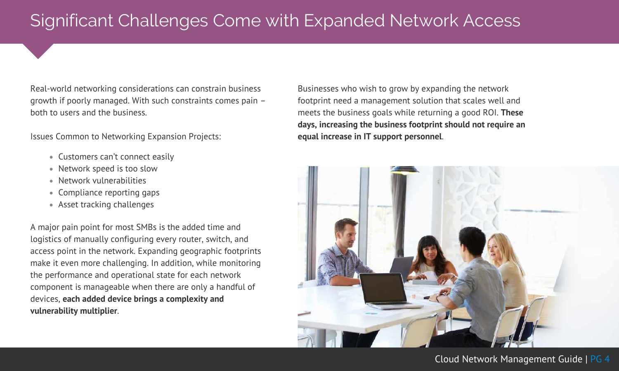### Significant Challenges Come with Expanded Network Access

Real-world networking considerations can constrain business growth if poorly managed. With such constraints comes pain – both to users and the business.

Issues Common to Networking Expansion Projects:

- Customers can't connect easily
- Network speed is too slow
- Network vulnerabilities
- Compliance reporting gaps
- Asset tracking challenges

A major pain point for most SMBs is the added time and logistics of manually configuring every router, switch, and access point in the network. Expanding geographic footprints make it even more challenging. In addition, while monitoring the performance and operational state for each network component is manageable when there are only a handful of devices, **each added device brings a complexity and vulnerability multiplier**.

Businesses who wish to grow by expanding the network footprint need a management solution that scales well and meets the business goals while returning a good ROI. **These days, increasing the business footprint should not require an equal increase in IT support personnel**.

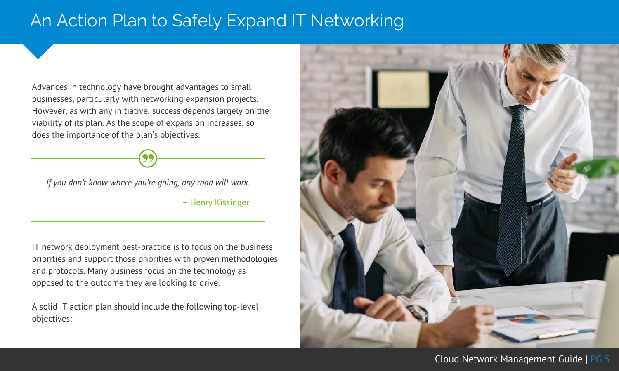### An Action Plan to Safely Expand IT Networking

Advances in technology have brought advantages to small businesses, particularly with networking expansion projects. However, as with any initiative, success depends largely on the viability of its plan. As the scope of expansion increases, so does the importance of the plan's objectives.

*If you don't know where you're going, any road will work.*

– Henry Kissinger

IT network deployment best-practice is to focus on the business priorities and support those priorities with proven methodologies and protocols. Many business focus on the technology as opposed to the outcome they are looking to drive.

A solid IT action plan should include the following top-level objectives:

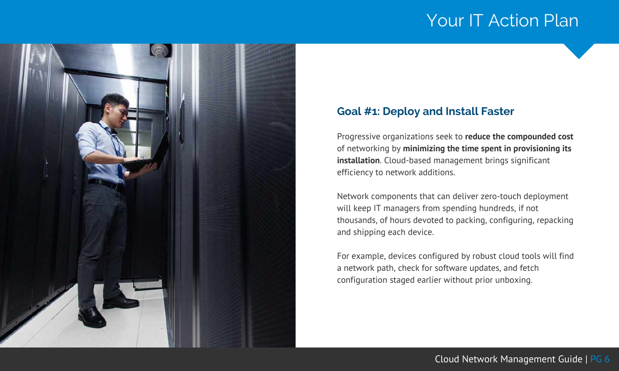

#### **Goal #1: Deploy and Install Faster**

Progressive organizations seek to **reduce the compounded cost** of networking by **minimizing the time spent in provisioning its installation**. Cloud-based management brings significant efficiency to network additions.

Network components that can deliver zero-touch deployment will keep IT managers from spending hundreds, if not thousands, of hours devoted to packing, configuring, repacking and shipping each device.

For example, devices configured by robust cloud tools will find a network path, check for software updates, and fetch configuration staged earlier without prior unboxing.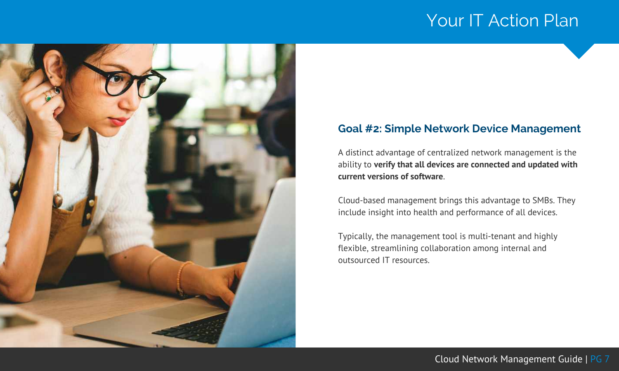

#### **Goal #2: Simple Network Device Management**

A distinct advantage of centralized network management is the ability to **verify that all devices are connected and updated with current versions of software**.

Cloud-based management brings this advantage to SMBs. They include insight into health and performance of all devices.

Typically, the management tool is multi-tenant and highly flexible, streamlining collaboration among internal and outsourced IT resources.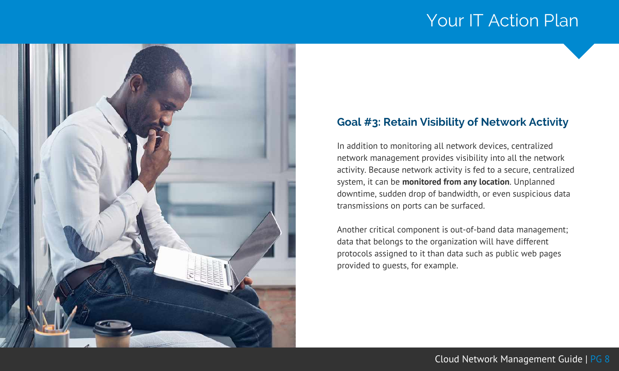

#### **Goal #3: Retain Visibility of Network Activity**

In addition to monitoring all network devices, centralized network management provides visibility into all the network activity. Because network activity is fed to a secure, centralized system, it can be **monitored from any location**. Unplanned downtime, sudden drop of bandwidth, or even suspicious data transmissions on ports can be surfaced.

Another critical component is out-of-band data management; data that belongs to the organization will have different protocols assigned to it than data such as public web pages provided to guests, for example.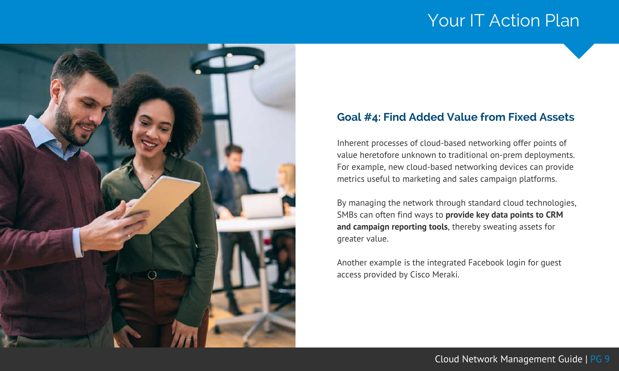

#### **Goal #4: Find Added Value from Fixed Assets**

Inherent processes of cloud-based networking offer points of value heretofore unknown to traditional on-prem deployments. For example, new cloud-based networking devices can provide metrics useful to marketing and sales campaign platforms.

By managing the network through standard cloud technologies, SMBs can often find ways to **provide key data points to CRM and campaign reporting tools**, thereby sweating assets for greater value.

Another example is the integrated Facebook login for guest access provided by Cisco Meraki.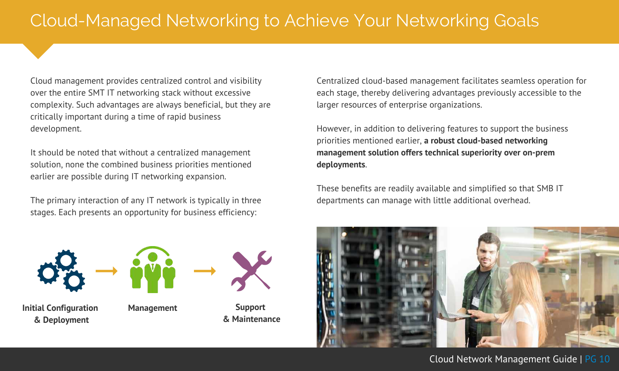Cloud management provides centralized control and visibility over the entire SMT IT networking stack without excessive complexity. Such advantages are always beneficial, but they are critically important during a time of rapid business development.

It should be noted that without a centralized management solution, none the combined business priorities mentioned earlier are possible during IT networking expansion.

The primary interaction of any IT network is typically in three stages. Each presents an opportunity for business efficiency:





**Management Support**



**& Maintenance**

Centralized cloud-based management facilitates seamless operation for each stage, thereby delivering advantages previously accessible to the larger resources of enterprise organizations.

However, in addition to delivering features to support the business priorities mentioned earlier, **a robust cloud-based networking management solution offers technical superiority over on-prem deployments**.

These benefits are readily available and simplified so that SMB IT departments can manage with little additional overhead.

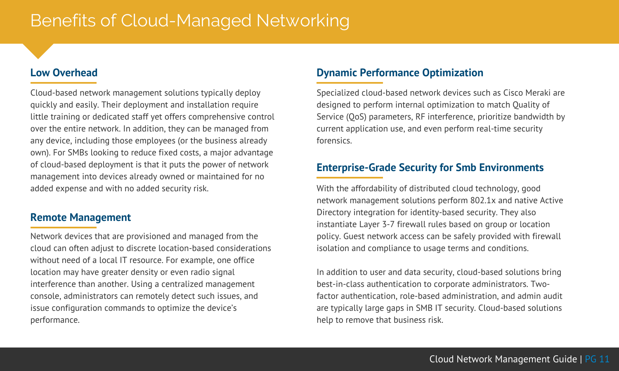### Benefits of Cloud-Managed Networking

#### **Low Overhead**

Cloud-based network management solutions typically deploy quickly and easily. Their deployment and installation require little training or dedicated staff yet offers comprehensive control over the entire network. In addition, they can be managed from any device, including those employees (or the business already own). For SMBs looking to reduce fixed costs, a major advantage of cloud-based deployment is that it puts the power of network management into devices already owned or maintained for no added expense and with no added security risk.

#### **Remote Management**

Network devices that are provisioned and managed from the cloud can often adjust to discrete location-based considerations without need of a local IT resource. For example, one office location may have greater density or even radio signal interference than another. Using a centralized management console, administrators can remotely detect such issues, and issue configuration commands to optimize the device's performance.

#### **Dynamic Performance Optimization**

Specialized cloud-based network devices such as Cisco Meraki are designed to perform internal optimization to match Quality of Service (QoS) parameters, RF interference, prioritize bandwidth by current application use, and even perform real-time security forensics.

#### **Enterprise-Grade Security for Smb Environments**

With the affordability of distributed cloud technology, good network management solutions perform 802.1x and native Active Directory integration for identity-based security. They also instantiate Layer 3-7 firewall rules based on group or location policy. Guest network access can be safely provided with firewall isolation and compliance to usage terms and conditions.

In addition to user and data security, cloud-based solutions bring best-in-class authentication to corporate administrators. Twofactor authentication, role-based administration, and admin audit are typically large gaps in SMB IT security. Cloud-based solutions help to remove that business risk.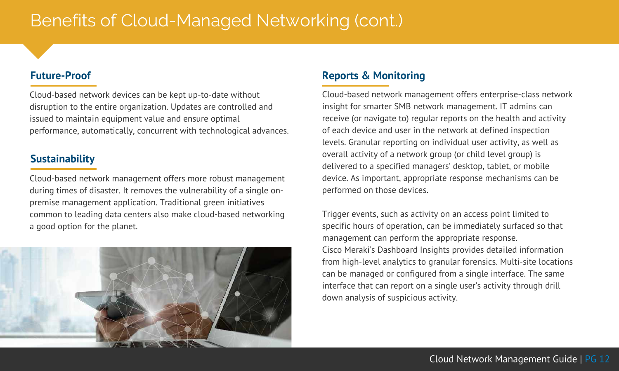### Benefits of Cloud-Managed Networking (cont.)

#### **Future-Proof**

Cloud-based network devices can be kept up-to-date without disruption to the entire organization. Updates are controlled and issued to maintain equipment value and ensure optimal performance, automatically, concurrent with technological advances.

#### **Sustainability**

Cloud-based network management offers more robust management during times of disaster. It removes the vulnerability of a single onpremise management application. Traditional green initiatives common to leading data centers also make cloud-based networking a good option for the planet.



#### **Reports & Monitoring**

Cloud-based network management offers enterprise-class network insight for smarter SMB network management. IT admins can receive (or navigate to) regular reports on the health and activity of each device and user in the network at defined inspection levels. Granular reporting on individual user activity, as well as overall activity of a network group (or child level group) is delivered to a specified managers' desktop, tablet, or mobile device. As important, appropriate response mechanisms can be performed on those devices.

Trigger events, such as activity on an access point limited to specific hours of operation, can be immediately surfaced so that management can perform the appropriate response. Cisco Meraki's Dashboard Insights provides detailed information from high-level analytics to granular forensics. Multi-site locations can be managed or configured from a single interface. The same interface that can report on a single user's activity through drill down analysis of suspicious activity.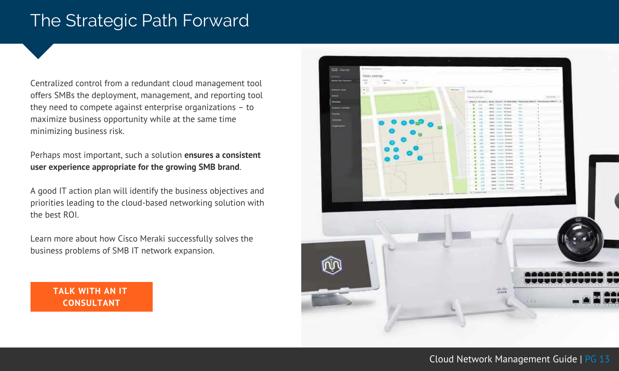### The Strategic Path Forward

Centralized control from a redundant cloud management tool offers SMBs the deployment, management, and reporting tool they need to compete against enterprise organizations – to maximize business opportunity while at the same time minimizing business risk.

Perhaps most important, such a solution **ensures a consistent user experience appropriate for the growing SMB brand**.

A good IT action plan will identify the business objectives and priorities leading to the cloud-based networking solution with the best ROI.

Learn more about how Cisco Meraki successfully solves the business problems of SMB IT network expansion.

> **TALK WITH AN IT CONSULTANT**